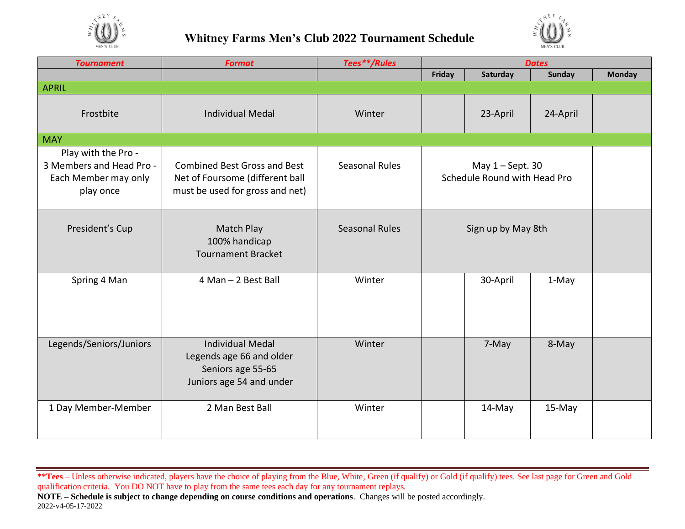



| <b>Tournament</b>                                                                    | <b>Format</b>                                                                                             | Tees**/Rules          | <b>Dates</b>                 |          |               |               |
|--------------------------------------------------------------------------------------|-----------------------------------------------------------------------------------------------------------|-----------------------|------------------------------|----------|---------------|---------------|
|                                                                                      |                                                                                                           |                       | Friday                       | Saturday | <b>Sunday</b> | <b>Monday</b> |
| <b>APRIL</b>                                                                         |                                                                                                           |                       |                              |          |               |               |
| Frostbite                                                                            | <b>Individual Medal</b>                                                                                   | Winter                |                              | 23-April | 24-April      |               |
| <b>MAY</b>                                                                           |                                                                                                           |                       |                              |          |               |               |
| Play with the Pro -<br>3 Members and Head Pro -<br>Each Member may only<br>play once | <b>Combined Best Gross and Best</b><br>Net of Foursome (different ball<br>must be used for gross and net) | Seasonal Rules        | Schedule Round with Head Pro |          |               |               |
| President's Cup                                                                      | Match Play<br>100% handicap<br><b>Tournament Bracket</b>                                                  | <b>Seasonal Rules</b> |                              |          |               |               |
| Spring 4 Man                                                                         | 4 Man - 2 Best Ball                                                                                       | Winter                |                              | 30-April | 1-May         |               |
| Legends/Seniors/Juniors                                                              | <b>Individual Medal</b><br>Legends age 66 and older<br>Seniors age 55-65<br>Juniors age 54 and under      | Winter                |                              | 7-May    | 8-May         |               |
| 1 Day Member-Member                                                                  | 2 Man Best Ball                                                                                           | Winter                |                              | 14-May   | 15-May        |               |

- **\*\*Tees** Unless otherwise indicated, players have the choice of playing from the Blue, White, Green (if qualify) or Gold (if qualify) tees. See last page for Green and Gold qualification criteria. You DO NOT have to play from the same tees each day for any tournament replays.
- **NOTE – Schedule is subject to change depending on course conditions and operations**. Changes will be posted accordingly. 2022-v4-05-17-2022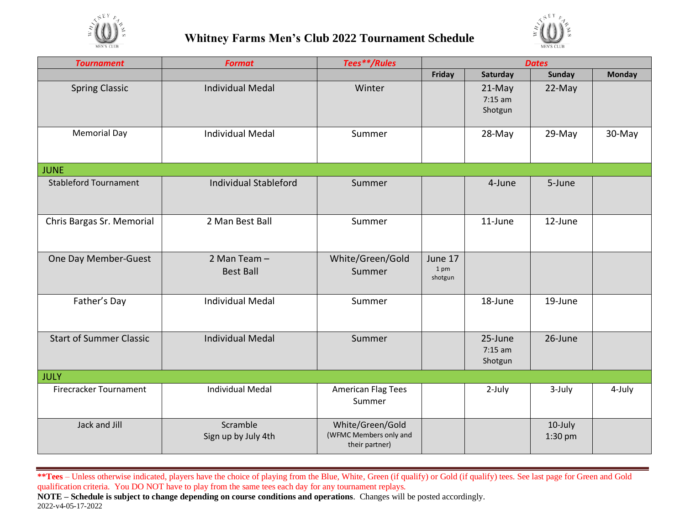



| <b>Tournament</b>              | <b>Format</b>                    | Tees**/Rules                                                 | <b>Dates</b>               |                                 |                      |               |
|--------------------------------|----------------------------------|--------------------------------------------------------------|----------------------------|---------------------------------|----------------------|---------------|
|                                |                                  |                                                              | Friday                     | Saturday                        | <b>Sunday</b>        | <b>Monday</b> |
| <b>Spring Classic</b>          | <b>Individual Medal</b>          | Winter                                                       |                            | 21-May<br>$7:15$ am<br>Shotgun  | 22-May               |               |
| <b>Memorial Day</b>            | <b>Individual Medal</b>          | Summer                                                       |                            | 28-May                          | $29-May$             | 30-May        |
| <b>JUNE</b>                    |                                  |                                                              |                            |                                 |                      |               |
| <b>Stableford Tournament</b>   | <b>Individual Stableford</b>     | Summer                                                       |                            | 4-June                          | 5-June               |               |
| Chris Bargas Sr. Memorial      | 2 Man Best Ball                  | Summer                                                       |                            | 11-June                         | 12-June              |               |
| One Day Member-Guest           | 2 Man Team -<br><b>Best Ball</b> | White/Green/Gold<br>Summer                                   | June 17<br>1 pm<br>shotgun |                                 |                      |               |
| Father's Day                   | <b>Individual Medal</b>          | Summer                                                       |                            | 18-June                         | 19-June              |               |
| <b>Start of Summer Classic</b> | <b>Individual Medal</b>          | Summer                                                       |                            | 25-June<br>$7:15$ am<br>Shotgun | 26-June              |               |
| <b>JULY</b>                    |                                  |                                                              |                            |                                 |                      |               |
| Firecracker Tournament         | <b>Individual Medal</b>          | <b>American Flag Tees</b><br>Summer                          |                            | 2-July                          | 3-July               | 4-July        |
| Jack and Jill                  | Scramble<br>Sign up by July 4th  | White/Green/Gold<br>(WFMC Members only and<br>their partner) |                            |                                 | 10-July<br>$1:30$ pm |               |

**\*\*Tees** – Unless otherwise indicated, players have the choice of playing from the Blue, White, Green (if qualify) or Gold (if qualify) tees. See last page for Green and Gold qualification criteria. You DO NOT have to play from the same tees each day for any tournament replays.

**NOTE – Schedule is subject to change depending on course conditions and operations**. Changes will be posted accordingly. 2022-v4-05-17-2022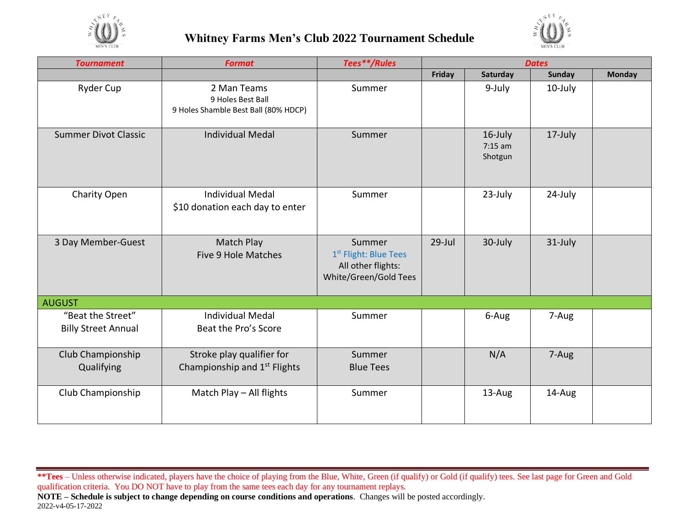



| <b>Tournament</b>                               | <b>Format</b>                                                            | Tees**/Rules                                                                               | <b>Dates</b> |                                 |               |               |
|-------------------------------------------------|--------------------------------------------------------------------------|--------------------------------------------------------------------------------------------|--------------|---------------------------------|---------------|---------------|
|                                                 |                                                                          |                                                                                            | Friday       | Saturday                        | <b>Sunday</b> | <b>Monday</b> |
| <b>Ryder Cup</b>                                | 2 Man Teams<br>9 Holes Best Ball<br>9 Holes Shamble Best Ball (80% HDCP) | Summer                                                                                     |              | 9-July                          | 10-July       |               |
| <b>Summer Divot Classic</b>                     | <b>Individual Medal</b>                                                  | Summer                                                                                     |              | 16-July<br>$7:15$ am<br>Shotgun | 17-July       |               |
| Charity Open                                    | <b>Individual Medal</b><br>\$10 donation each day to enter               | Summer                                                                                     |              | 23-July                         | 24-July       |               |
| 3 Day Member-Guest                              | Match Play<br>Five 9 Hole Matches                                        | Summer<br>1 <sup>st</sup> Flight: Blue Tees<br>All other flights:<br>White/Green/Gold Tees | 29-Jul       | 30-July                         | 31-July       |               |
| <b>AUGUST</b>                                   |                                                                          |                                                                                            |              |                                 |               |               |
| "Beat the Street"<br><b>Billy Street Annual</b> | <b>Individual Medal</b><br>Beat the Pro's Score                          | Summer                                                                                     |              | 6-Aug                           | 7-Aug         |               |
| Club Championship<br>Qualifying                 | Stroke play qualifier for<br>Championship and 1 <sup>st</sup> Flights    | Summer<br><b>Blue Tees</b>                                                                 |              | N/A                             | 7-Aug         |               |
| Club Championship                               | Match Play - All flights                                                 | Summer                                                                                     |              | 13-Aug                          | 14-Aug        |               |

**\*\*Tees** – Unless otherwise indicated, players have the choice of playing from the Blue, White, Green (if qualify) or Gold (if qualify) tees. See last page for Green and Gold qualification criteria. You DO NOT have to play from the same tees each day for any tournament replays.

**NOTE – Schedule is subject to change depending on course conditions and operations**. Changes will be posted accordingly. 2022-v4-05-17-2022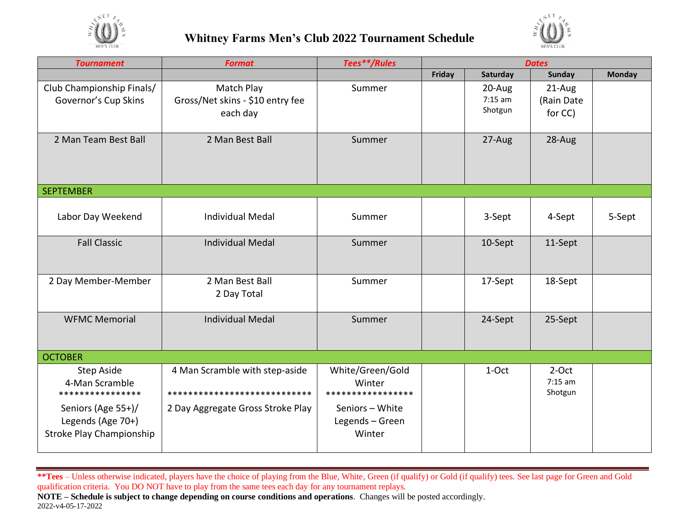



| <b>Tournament</b>                                                          | <b>Format</b>                                                  | Tees**/Rules                                    | <b>Dates</b> |                                |                                  |               |
|----------------------------------------------------------------------------|----------------------------------------------------------------|-------------------------------------------------|--------------|--------------------------------|----------------------------------|---------------|
|                                                                            |                                                                |                                                 | Friday       | Saturday                       | <b>Sunday</b>                    | <b>Monday</b> |
| Club Championship Finals/<br>Governor's Cup Skins                          | Match Play<br>Gross/Net skins - \$10 entry fee<br>each day     | Summer                                          |              | 20-Aug<br>$7:15$ am<br>Shotgun | 21-Aug<br>(Rain Date<br>for CC)  |               |
| 2 Man Team Best Ball                                                       | 2 Man Best Ball                                                | Summer                                          |              | 27-Aug                         | 28-Aug                           |               |
| <b>SEPTEMBER</b>                                                           |                                                                |                                                 |              |                                |                                  |               |
| Labor Day Weekend                                                          | <b>Individual Medal</b>                                        | Summer                                          |              | 3-Sept                         | 4-Sept                           | 5-Sept        |
| <b>Fall Classic</b>                                                        | <b>Individual Medal</b>                                        | Summer                                          |              | 10-Sept                        | 11-Sept                          |               |
| 2 Day Member-Member                                                        | 2 Man Best Ball<br>2 Day Total                                 | Summer                                          |              | 17-Sept                        | 18-Sept                          |               |
| <b>WFMC Memorial</b>                                                       | <b>Individual Medal</b>                                        | Summer                                          |              | 24-Sept                        | 25-Sept                          |               |
| <b>OCTOBER</b>                                                             |                                                                |                                                 |              |                                |                                  |               |
| <b>Step Aside</b><br>4-Man Scramble<br>****************                    | 4 Man Scramble with step-aside<br>**************************** | White/Green/Gold<br>Winter<br>***************** |              | 1-Oct                          | $2$ -Oct<br>$7:15$ am<br>Shotgun |               |
| Seniors (Age 55+)/<br>Legends (Age 70+)<br><b>Stroke Play Championship</b> | 2 Day Aggregate Gross Stroke Play                              | Seniors - White<br>Legends - Green<br>Winter    |              |                                |                                  |               |

**\*\*Tees** – Unless otherwise indicated, players have the choice of playing from the Blue, White, Green (if qualify) or Gold (if qualify) tees. See last page for Green and Gold qualification criteria. You DO NOT have to play from the same tees each day for any tournament replays. **NOTE – Schedule is subject to change depending on course conditions and operations**. Changes will be posted accordingly. 2022-v4-05-17-2022